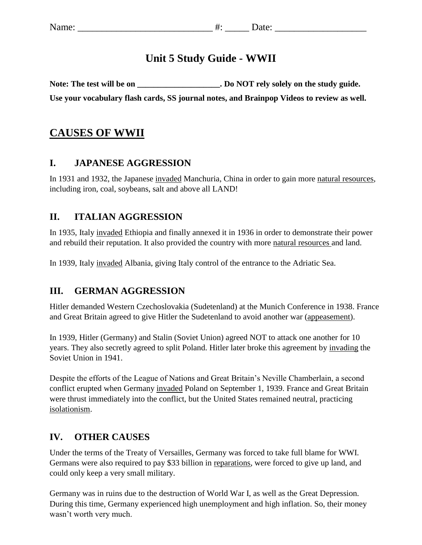## **Unit 5 Study Guide - WWII**

Note: The test will be on \_\_\_\_\_\_\_\_\_\_\_\_\_\_\_\_\_\_\_\_\_. Do NOT rely solely on the study guide. **Use your vocabulary flash cards, SS journal notes, and Brainpop Videos to review as well.** 

## **CAUSES OF WWII**

#### **I. JAPANESE AGGRESSION**

In 1931 and 1932, the Japanese invaded Manchuria, China in order to gain more natural resources, including iron, coal, soybeans, salt and above all LAND!

### **II. ITALIAN AGGRESSION**

In 1935, Italy invaded Ethiopia and finally annexed it in 1936 in order to demonstrate their power and rebuild their reputation. It also provided the country with more natural resources and land.

In 1939, Italy invaded Albania, giving Italy control of the entrance to the [Adriatic Sea.](https://en.wikipedia.org/wiki/Adriatic_Sea)

### **III. GERMAN AGGRESSION**

Hitler demanded Western Czechoslovakia (Sudetenland) at the Munich Conference in 1938. France and Great Britain agreed to give Hitler the Sudetenland to avoid another war (appeasement).

In 1939, Hitler (Germany) and Stalin (Soviet Union) agreed NOT to attack one another for 10 years. They also secretly agreed to split Poland. Hitler later broke this agreement by invading the Soviet Union in 1941.

Despite the efforts of the League of Nations and Great Britain's Neville Chamberlain, a second conflict erupted when Germany invaded Poland on September 1, 1939. France and Great Britain were thrust immediately into the conflict, but the United States remained neutral, practicing isolationism.

#### **IV. OTHER CAUSES**

Under the terms of the Treaty of Versailles, Germany was forced to take full blame for WWI. Germans were also required to pay \$33 billion in reparations, were forced to give up land, and could only keep a very small military.

Germany was in ruins due to the destruction of World War I, as well as the Great Depression. During this time, Germany experienced high unemployment and high inflation. So, their money wasn't worth very much.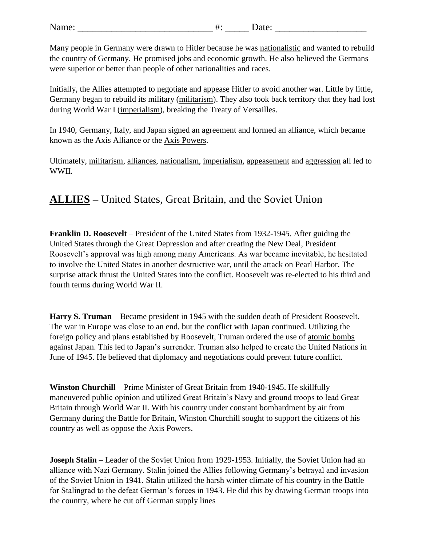| ъ.<br>Name: |
|-------------|
|-------------|

Many people in Germany were drawn to Hitler because he was nationalistic and wanted to rebuild the country of Germany. He promised jobs and economic growth. He also believed the Germans were superior or better than people of other nationalities and races.

Initially, the Allies attempted to negotiate and appease Hitler to avoid another war. Little by little, Germany began to rebuild its military (militarism). They also took back territory that they had lost during World War I (imperialism), breaking the Treaty of Versailles.

In 1940, Germany, Italy, and Japan signed an agreement and formed an alliance, which became known as the Axis Alliance or the Axis Powers.

Ultimately, militarism, alliances, nationalism, imperialism, appeasement and aggression all led to WWII.

# **ALLIES –** United States, Great Britain, and the Soviet Union

**Franklin D. Roosevelt** – President of the United States from 1932-1945. After guiding the United States through the Great Depression and after creating the New Deal, President Roosevelt's approval was high among many Americans. As war became inevitable, he hesitated to involve the United States in another destructive war, until the attack on Pearl Harbor. The surprise attack thrust the United States into the conflict. Roosevelt was re-elected to his third and fourth terms during World War II.

**Harry S. Truman** – Became president in 1945 with the sudden death of President Roosevelt. The war in Europe was close to an end, but the conflict with Japan continued. Utilizing the foreign policy and plans established by Roosevelt, Truman ordered the use of atomic bombs against Japan. This led to Japan's surrender. Truman also helped to create the United Nations in June of 1945. He believed that diplomacy and negotiations could prevent future conflict.

**Winston Churchill** – Prime Minister of Great Britain from 1940-1945. He skillfully maneuvered public opinion and utilized Great Britain's Navy and ground troops to lead Great Britain through World War II. With his country under constant bombardment by air from Germany during the Battle for Britain, Winston Churchill sought to support the citizens of his country as well as oppose the Axis Powers.

**Joseph Stalin** – Leader of the Soviet Union from 1929-1953. Initially, the Soviet Union had an alliance with Nazi Germany. Stalin joined the Allies following Germany's betrayal and invasion of the Soviet Union in 1941. Stalin utilized the harsh winter climate of his country in the Battle for Stalingrad to the defeat German's forces in 1943. He did this by drawing German troops into the country, where he cut off German supply lines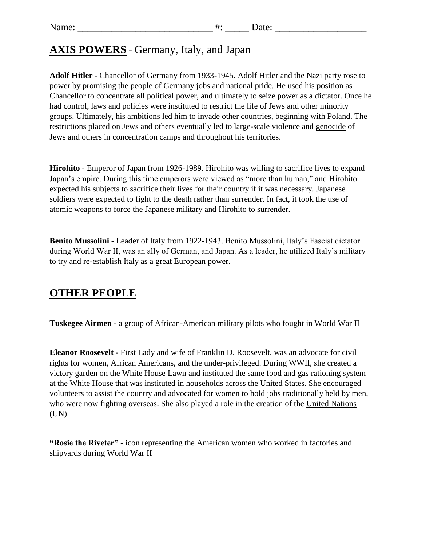## **AXIS POWERS -** Germany, Italy, and Japan

**Adolf Hitler** - Chancellor of Germany from 1933-1945. Adolf Hitler and the Nazi party rose to power by promising the people of Germany jobs and national pride. He used his position as Chancellor to concentrate all political power, and ultimately to seize power as a dictator. Once he had control, laws and policies were instituted to restrict the life of Jews and other minority groups. Ultimately, his ambitions led him to invade other countries, beginning with Poland. The restrictions placed on Jews and others eventually led to large-scale violence and genocide of Jews and others in concentration camps and throughout his territories.

**Hirohito** - Emperor of Japan from 1926-1989. Hirohito was willing to sacrifice lives to expand Japan's empire. During this time emperors were viewed as "more than human," and Hirohito expected his subjects to sacrifice their lives for their country if it was necessary. Japanese soldiers were expected to fight to the death rather than surrender. In fact, it took the use of atomic weapons to force the Japanese military and Hirohito to surrender.

**Benito Mussolini** - Leader of Italy from 1922-1943. Benito Mussolini, Italy's Fascist dictator during World War II, was an ally of German, and Japan. As a leader, he utilized Italy's military to try and re-establish Italy as a great European power.

## **OTHER PEOPLE**

**Tuskegee Airmen -** a group of African-American military pilots who fought in World War II

**Eleanor Roosevelt -** First Lady and wife of Franklin D. Roosevelt, was an advocate for civil rights for women, African Americans, and the under-privileged. During WWII, she created a victory garden on the White House Lawn and instituted the same food and gas rationing system at the White House that was instituted in households across the United States. She encouraged volunteers to assist the country and advocated for women to hold jobs traditionally held by men, who were now fighting overseas. She also played a role in the creation of the United Nations (UN).

**"Rosie the Riveter" -** icon representing the American women who worked in factories and shipyards during World War II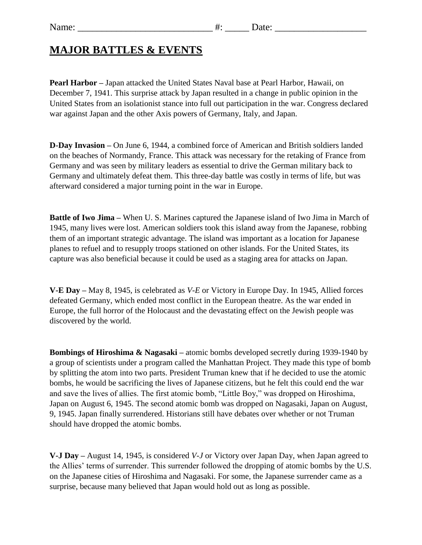## **MAJOR BATTLES & EVENTS**

**Pearl Harbor –** Japan attacked the United States Naval base at Pearl Harbor, Hawaii, on December 7, 1941. This surprise attack by Japan resulted in a change in public opinion in the United States from an isolationist stance into full out participation in the war. Congress declared war against Japan and the other Axis powers of Germany, Italy, and Japan.

**D-Day Invasion –** On June 6, 1944, a combined force of American and British soldiers landed on the beaches of Normandy, France. This attack was necessary for the retaking of France from Germany and was seen by military leaders as essential to drive the German military back to Germany and ultimately defeat them. This three-day battle was costly in terms of life, but was afterward considered a major turning point in the war in Europe.

**Battle of Iwo Jima –** When U. S. Marines captured the Japanese island of Iwo Jima in March of 1945, many lives were lost. American soldiers took this island away from the Japanese, robbing them of an important strategic advantage. The island was important as a location for Japanese planes to refuel and to resupply troops stationed on other islands. For the United States, its capture was also beneficial because it could be used as a staging area for attacks on Japan.

**V-E Day –** May 8, 1945, is celebrated as *V-E* or Victory in Europe Day. In 1945, Allied forces defeated Germany, which ended most conflict in the European theatre. As the war ended in Europe, the full horror of the Holocaust and the devastating effect on the Jewish people was discovered by the world.

**Bombings of Hiroshima & Nagasaki –** atomic bombs developed secretly during 1939-1940 by a group of scientists under a program called the Manhattan Project. They made this type of bomb by splitting the atom into two parts. President Truman knew that if he decided to use the atomic bombs, he would be sacrificing the lives of Japanese citizens, but he felt this could end the war and save the lives of allies. The first atomic bomb, "Little Boy," was dropped on Hiroshima, Japan on August 6, 1945. The second atomic bomb was dropped on Nagasaki, Japan on August, 9, 1945. Japan finally surrendered. Historians still have debates over whether or not Truman should have dropped the atomic bombs.

**V-J Day –** August 14, 1945, is considered *V-J* or Victory over Japan Day, when Japan agreed to the Allies' terms of surrender. This surrender followed the dropping of atomic bombs by the U.S. on the Japanese cities of Hiroshima and Nagasaki. For some, the Japanese surrender came as a surprise, because many believed that Japan would hold out as long as possible.